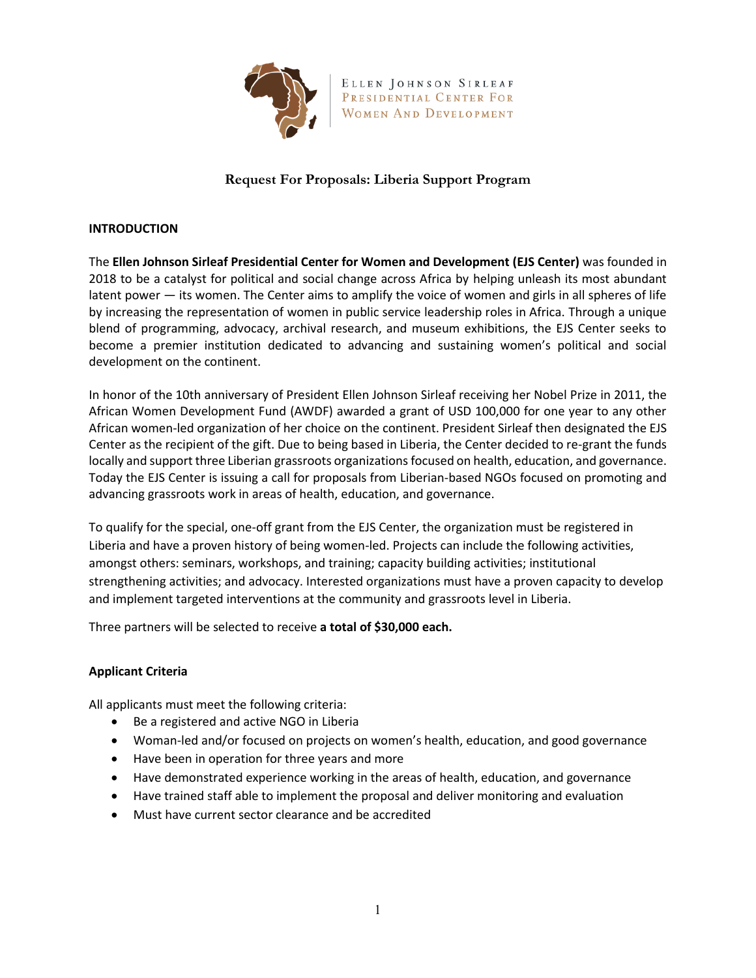

ELLEN JOHNSON SIRLEAF PRESIDENTIAL CENTER FOR WOMEN AND DEVELOPMENT

# **Request For Proposals: Liberia Support Program**

### **INTRODUCTION**

The **Ellen Johnson Sirleaf Presidential Center for Women and Development (EJS Center)** was founded in 2018 to be a catalyst for political and social change across Africa by helping unleash its most abundant latent power — its women. The Center aims to amplify the voice of women and girls in all spheres of life by increasing the representation of women in public service leadership roles in Africa. Through a unique blend of programming, advocacy, archival research, and museum exhibitions, the EJS Center seeks to become a premier institution dedicated to advancing and sustaining women's political and social development on the continent.

In honor of the 10th anniversary of President Ellen Johnson Sirleaf receiving her Nobel Prize in 2011, the African Women Development Fund (AWDF) awarded a grant of USD 100,000 for one year to any other African women-led organization of her choice on the continent. President Sirleaf then designated the EJS Center as the recipient of the gift. Due to being based in Liberia, the Center decided to re-grant the funds locally and support three Liberian grassroots organizations focused on health, education, and governance. Today the EJS Center is issuing a call for proposals from Liberian-based NGOs focused on promoting and advancing grassroots work in areas of health, education, and governance.

To qualify for the special, one-off grant from the EJS Center, the organization must be registered in Liberia and have a proven history of being women-led. Projects can include the following activities, amongst others: seminars, workshops, and training; capacity building activities; institutional strengthening activities; and advocacy. Interested organizations must have a proven capacity to develop and implement targeted interventions at the community and grassroots level in Liberia.

Three partners will be selected to receive **a total of \$30,000 each.** 

## **Applicant Criteria**

All applicants must meet the following criteria:

- Be a registered and active NGO in Liberia
- Woman-led and/or focused on projects on women's health, education, and good governance
- Have been in operation for three years and more
- Have demonstrated experience working in the areas of health, education, and governance
- Have trained staff able to implement the proposal and deliver monitoring and evaluation
- Must have current sector clearance and be accredited